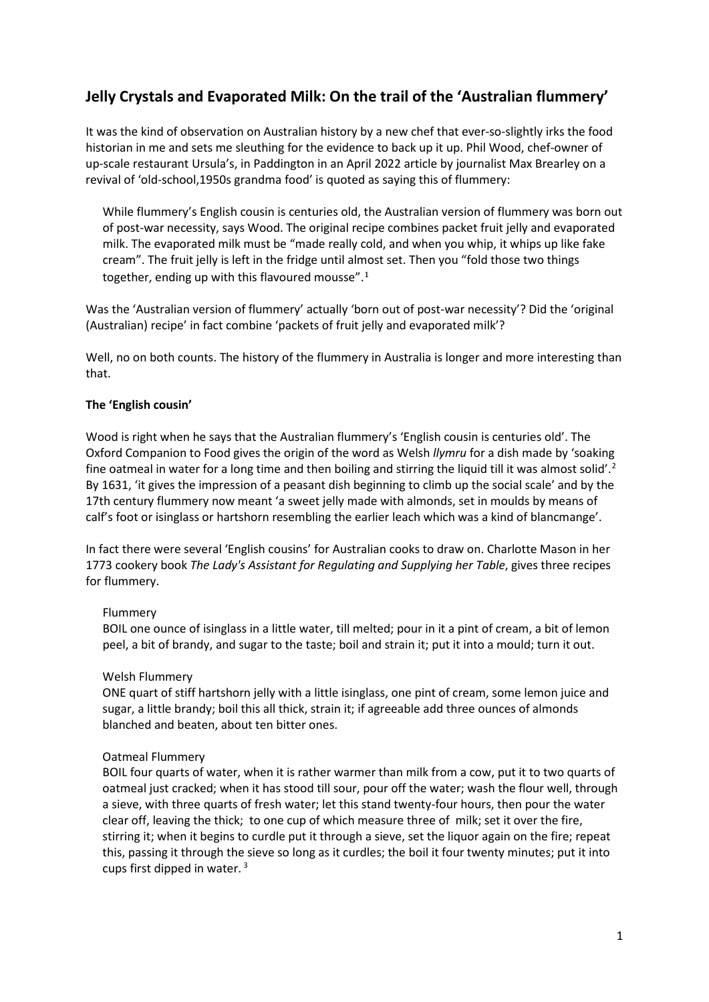# **Jelly Crystals and Evaporated Milk: On the trail of the 'Australian flummery'**

It was the kind of observation on Australian history by a new chef that ever-so-slightly irks the food historian in me and sets me sleuthing for the evidence to back up it up. Phil Wood, chef-owner of up-scale restaurant Ursula's, in Paddington in an April 2022 article by journalist Max Brearley on a revival of 'old-school,1950s grandma food' is quoted as saying this of flummery:

While flummery's English cousin is centuries old, the Australian version of flummery was born out of post-war necessity, says Wood. The original recipe combines packet fruit jelly and evaporated milk. The evaporated milk must be "made really cold, and when you whip, it whips up like fake cream". The fruit jelly is left in the fridge until almost set. Then you "fold those two things together, ending up with this flavoured mousse".[1](#page-8-0)

Was the 'Australian version of flummery' actually 'born out of post-war necessity'? Did the 'original (Australian) recipe' in fact combine 'packets of fruit jelly and evaporated milk'?

Well, no on both counts. The history of the flummery in Australia is longer and more interesting than that.

## **The 'English cousin'**

Wood is right when he says that the Australian flummery's 'English cousin is centuries old'. The Oxford Companion to Food gives the origin of the word as Welsh *llymru* for a dish made by 'soaking fine oatmeal in water for a long time and then boiling and stirring the liquid till it was almost solid'.<sup>[2](#page-8-1)</sup> By 1631, 'it gives the impression of a peasant dish beginning to climb up the social scale' and by the 17th century flummery now meant 'a sweet jelly made with almonds, set in moulds by means of calf's foot or isinglass or hartshorn resembling the earlier leach which was a kind of blancmange'.

In fact there were several 'English cousins' for Australian cooks to draw on. Charlotte Mason in her 1773 cookery book *The Lady's Assistant for Regulating and Supplying her Table*, gives three recipes for flummery.

## Flummery

BOIL one ounce of isinglass in a little water, till melted; pour in it a pint of cream, a bit of lemon peel, a bit of brandy, and sugar to the taste; boil and strain it; put it into a mould; turn it out.

## Welsh Flummery

ONE quart of stiff hartshorn jelly with a little isinglass, one pint of cream, some lemon juice and sugar, a little brandy; boil this all thick, strain it; if agreeable add three ounces of almonds blanched and beaten, about ten bitter ones.

## Oatmeal Flummery

BOIL four quarts of water, when it is rather warmer than milk from a cow, put it to two quarts of oatmeal just cracked; when it has stood till sour, pour off the water; wash the flour well, through a sieve, with three quarts of fresh water; let this stand twenty-four hours, then pour the water clear off, leaving the thick; to one cup of which measure three of milk; set it over the fire, stirring it; when it begins to curdle put it through a sieve, set the liquor again on the fire; repeat this, passing it through the sieve so long as it curdles; the boil it four twenty minutes; put it into cups first dipped in water. [3](#page-8-2)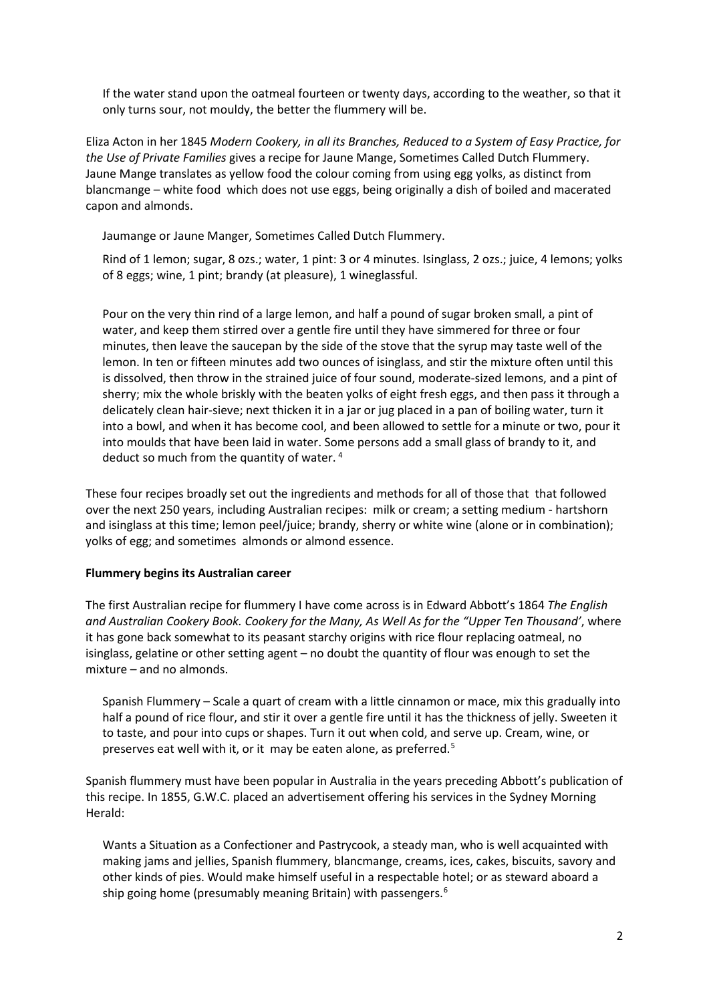If the water stand upon the oatmeal fourteen or twenty days, according to the weather, so that it only turns sour, not mouldy, the better the flummery will be.

Eliza Acton in her 1845 *Modern Cookery, in all its Branches, Reduced to a System of Easy Practice, for the Use of Private Families* gives a recipe for Jaune Mange, Sometimes Called Dutch Flummery. Jaune Mange translates as yellow food the colour coming from using egg yolks, as distinct from blancmange – white food which does not use eggs, being originally a dish of boiled and macerated capon and almonds.

Jaumange or Jaune Manger, Sometimes Called Dutch Flummery.

Rind of 1 lemon; sugar, 8 ozs.; water, 1 pint: 3 or 4 minutes. Isinglass, 2 ozs.; juice, 4 lemons; yolks of 8 eggs; wine, 1 pint; brandy (at pleasure), 1 wineglassful.

Pour on the very thin rind of a large lemon, and half a pound of sugar broken small, a pint of water, and keep them stirred over a gentle fire until they have simmered for three or four minutes, then leave the saucepan by the side of the stove that the syrup may taste well of the lemon. In ten or fifteen minutes add two ounces of isinglass, and stir the mixture often until this is dissolved, then throw in the strained juice of four sound, moderate-sized lemons, and a pint of sherry; mix the whole briskly with the beaten yolks of eight fresh eggs, and then pass it through a delicately clean hair-sieve; next thicken it in a jar or jug placed in a pan of boiling water, turn it into a bowl, and when it has become cool, and been allowed to settle for a minute or two, pour it into moulds that have been laid in water. Some persons add a small glass of brandy to it, and deduct so much from the quantity of water. [4](#page-8-3)

These four recipes broadly set out the ingredients and methods for all of those that that followed over the next 250 years, including Australian recipes: milk or cream; a setting medium - hartshorn and isinglass at this time; lemon peel/juice; brandy, sherry or white wine (alone or in combination); yolks of egg; and sometimes almonds or almond essence.

## **Flummery begins its Australian career**

The first Australian recipe for flummery I have come across is in Edward Abbott's 1864 *The English and Australian Cookery Book. Cookery for the Many, As Well As for the "Upper Ten Thousand'*, where it has gone back somewhat to its peasant starchy origins with rice flour replacing oatmeal, no isinglass, gelatine or other setting agent – no doubt the quantity of flour was enough to set the mixture – and no almonds.

Spanish Flummery – Scale a quart of cream with a little cinnamon or mace, mix this gradually into half a pound of rice flour, and stir it over a gentle fire until it has the thickness of jelly. Sweeten it to taste, and pour into cups or shapes. Turn it out when cold, and serve up. Cream, wine, or preserves eat well with it, or it may be eaten alone, as preferred.<sup>[5](#page-8-4)</sup>

Spanish flummery must have been popular in Australia in the years preceding Abbott's publication of this recipe. In 1855, G.W.C. placed an advertisement offering his services in the Sydney Morning Herald:

Wants a Situation as a Confectioner and Pastrycook, a steady man, who is well acquainted with making jams and jellies, Spanish flummery, blancmange, creams, ices, cakes, biscuits, savory and other kinds of pies. Would make himself useful in a respectable hotel; or as steward aboard a ship going home (presumably meaning Britain) with passengers.<sup>[6](#page-8-5)</sup>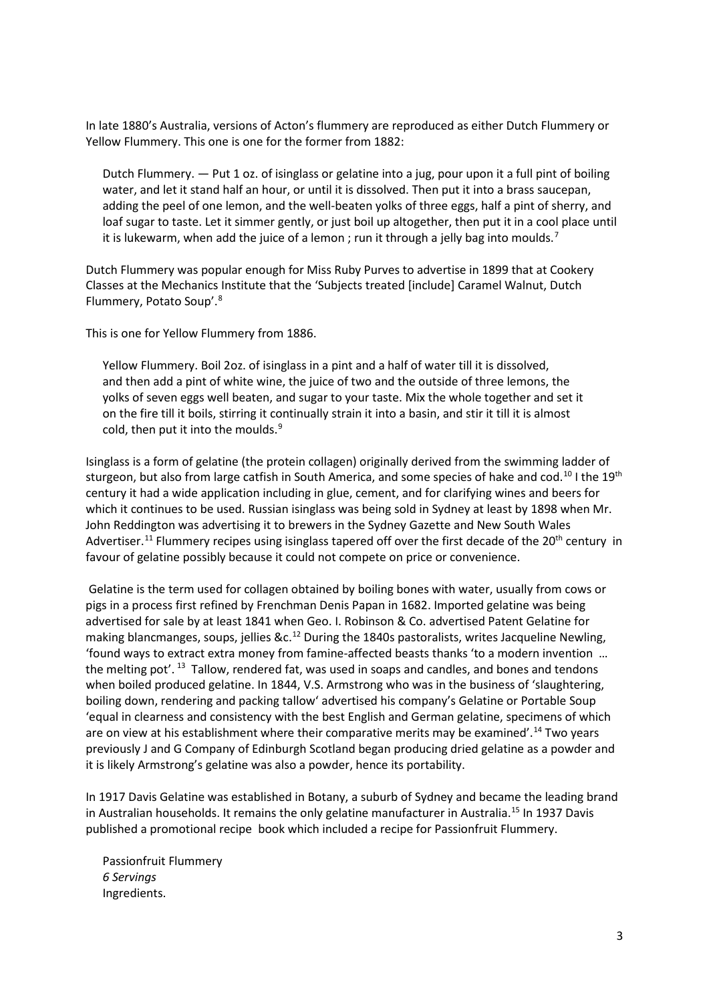In late 1880's Australia, versions of Acton's flummery are reproduced as either Dutch Flummery or Yellow Flummery. This one is one for the former from 1882:

Dutch Flummery. — Put 1 oz. of isinglass or gelatine into a jug, pour upon it a full pint of boiling water, and let it stand half an hour, or until it is dissolved. Then put it into a brass saucepan, adding the peel of one lemon, and the well-beaten yolks of three eggs, half a pint of sherry, and loaf sugar to taste. Let it simmer gently, or just boil up altogether, then put it in a cool place until it is lukewarm, when add the juice of a lemon; run it through a jelly bag into moulds.<sup>[7](#page-8-6)</sup>

Dutch Flummery was popular enough for Miss Ruby Purves to advertise in 1899 that at Cookery Classes at the Mechanics Institute that the 'Subjects treated [include] Caramel Walnut, Dutch Flummery, Potato Soup'. [8](#page-8-7)

This is one for Yellow Flummery from 1886.

Yellow Flummery. Boil 2oz. of isinglass in a pint and a half of water till it is dissolved, and then add a pint of white wine, the juice of two and the outside of three lemons, the yolks of seven eggs well beaten, and sugar to your taste. Mix the whole together and set it on the fire till it boils, stirring it continually strain it into a basin, and stir it till it is almost cold, then put it into the moulds. $9$ 

Isinglass is a form of gelatine (the protein collagen) originally derived from the swimming ladder of sturgeon, but also from large catfish in South America, and some species of hake and cod.<sup>[10](#page-9-1)</sup> I the 19<sup>th</sup> century it had a wide application including in glue, cement, and for clarifying wines and beers for which it continues to be used. Russian isinglass was being sold in Sydney at least by 1898 when Mr. John Reddington was advertising it to brewers in the Sydney Gazette and New South Wales Advertiser.<sup>[11](#page-9-2)</sup> Flummery recipes using isinglass tapered off over the first decade of the 20<sup>th</sup> century in favour of gelatine possibly because it could not compete on price or convenience.

Gelatine is the term used for collagen obtained by boiling bones with water, usually from cows or pigs in a process first refined by Frenchman Denis Papan in 1682. Imported gelatine was being advertised for sale by at least 1841 when Geo. I. Robinson & Co. advertised Patent Gelatine for making blancmanges, soups, jellies  $\&c.12$  $\&c.12$  During the 1840s pastoralists, writes Jacqueline Newling, 'found ways to extract extra money from famine-affected beasts thanks 'to a modern invention … the melting pot'.<sup>13</sup> Tallow, rendered fat, was used in soaps and candles, and bones and tendons when boiled produced gelatine. In 1844, V.S. Armstrong who was in the business of 'slaughtering, boiling down, rendering and packing tallow' advertised his company's Gelatine or Portable Soup 'equal in clearness and consistency with the best English and German gelatine, specimens of which are on view at his establishment where their comparative merits may be examined'.<sup>[14](#page-9-5)</sup> Two years previously J and G Company of Edinburgh Scotland began producing dried gelatine as a powder and it is likely Armstrong's gelatine was also a powder, hence its portability.

In 1917 Davis Gelatine was established in Botany, a suburb of Sydney and became the leading brand in Australian households. It remains the only gelatine manufacturer in Australia.<sup>[15](#page-9-6)</sup> In 1937 Davis published a promotional recipe book which included a recipe for Passionfruit Flummery.

Passionfruit Flummery *6 Servings* Ingredients.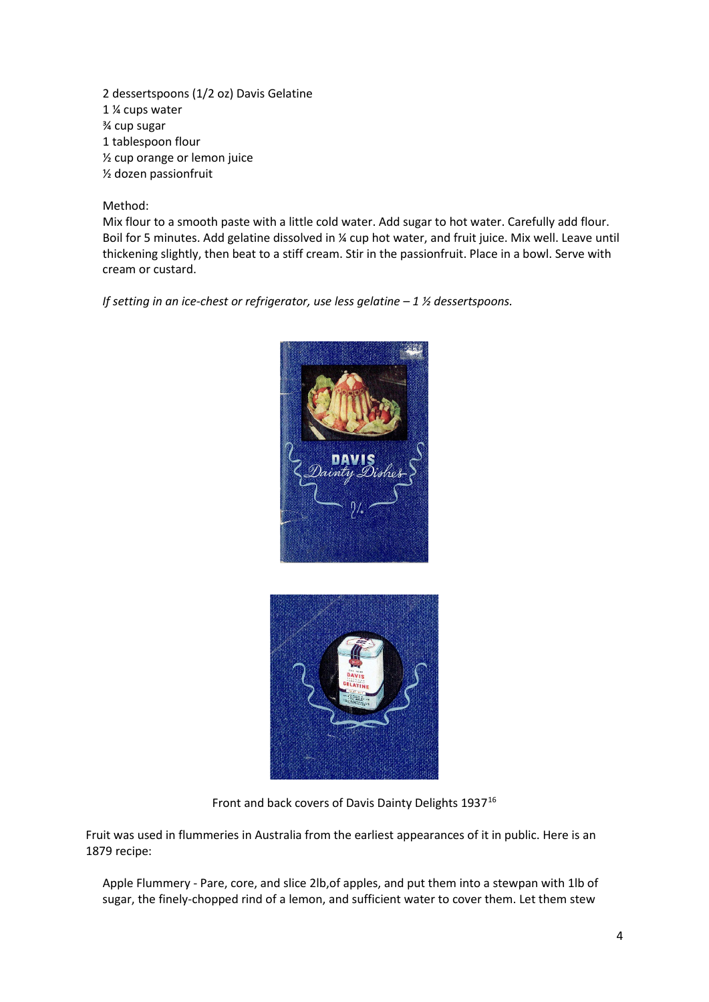2 dessertspoons (1/2 oz) Davis Gelatine 1 ¼ cups water ¾ cup sugar 1 tablespoon flour ½ cup orange or lemon juice ½ dozen passionfruit

## Method:

Mix flour to a smooth paste with a little cold water. Add sugar to hot water. Carefully add flour. Boil for 5 minutes. Add gelatine dissolved in % cup hot water, and fruit juice. Mix well. Leave until thickening slightly, then beat to a stiff cream. Stir in the passionfruit. Place in a bowl. Serve with cream or custard.

*If setting in an ice-chest or refrigerator, use less gelatine – 1 ½ dessertspoons.*





Front and back covers of Davis Dainty Delights 1937<sup>[16](#page-9-7)</sup>

Fruit was used in flummeries in Australia from the earliest appearances of it in public. Here is an 1879 recipe:

Apple Flummery - Pare, core, and slice 2lb,of apples, and put them into a stewpan with 1lb of sugar, the finely-chopped rind of a lemon, and sufficient water to cover them. Let them stew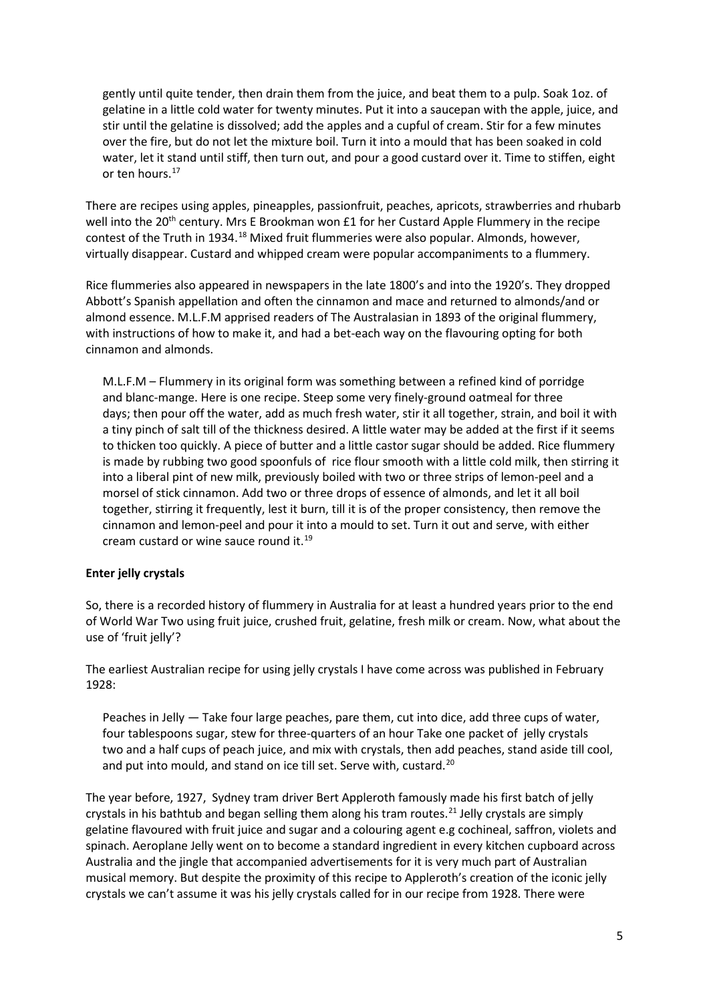gently until quite tender, then drain them from the juice, and beat them to a pulp. Soak 1oz. of gelatine in a little cold water for twenty minutes. Put it into a saucepan with the apple, juice, and stir until the gelatine is dissolved; add the apples and a cupful of cream. Stir for a few minutes over the fire, but do not let the mixture boil. Turn it into a mould that has been soaked in cold water, let it stand until stiff, then turn out, and pour a good custard over it. Time to stiffen, eight or ten hours.<sup>17</sup>

There are recipes using apples, pineapples, passionfruit, peaches, apricots, strawberries and rhubarb well into the 20<sup>th</sup> century. Mrs E Brookman won £1 for her Custard Apple Flummery in the recipe contest of the Truth in 1934.[18](#page-9-9) Mixed fruit flummeries were also popular. Almonds, however, virtually disappear. Custard and whipped cream were popular accompaniments to a flummery.

Rice flummeries also appeared in newspapers in the late 1800's and into the 1920's. They dropped Abbott's Spanish appellation and often the cinnamon and mace and returned to almonds/and or almond essence. M.L.F.M apprised readers of The Australasian in 1893 of the original flummery, with instructions of how to make it, and had a bet-each way on the flavouring opting for both cinnamon and almonds.

M.L.F.M – Flummery in its original form was something between a refined kind of porridge and blanc-mange. Here is one recipe. Steep some very finely-ground oatmeal for three days; then pour off the water, add as much fresh water, stir it all together, strain, and boil it with a tiny pinch of salt till of the thickness desired. A little water may be added at the first if it seems to thicken too quickly. A piece of butter and a little castor sugar should be added. Rice flummery is made by rubbing two good spoonfuls of rice flour smooth with a little cold milk, then stirring it into a liberal pint of new milk, previously boiled with two or three strips of lemon-peel and a morsel of stick cinnamon. Add two or three drops of essence of almonds, and let it all boil together, stirring it frequently, lest it burn, till it is of the proper consistency, then remove the cinnamon and lemon-peel and pour it into a mould to set. Turn it out and serve, with either cream custard or wine sauce round it.[19](#page-9-10)

## **Enter jelly crystals**

So, there is a recorded history of flummery in Australia for at least a hundred years prior to the end of World War Two using fruit juice, crushed fruit, gelatine, fresh milk or cream. Now, what about the use of 'fruit jelly'?

The earliest Australian recipe for using jelly crystals I have come across was published in February 1928:

Peaches in Jelly — Take four large peaches, pare them, cut into dice, add three cups of water, four tablespoons sugar, stew for three-quarters of an hour Take one packet of jelly crystals two and a half cups of peach juice, and mix with crystals, then add peaches, stand aside till cool, and put into mould, and stand on ice till set. Serve with, custard.<sup>[20](#page-9-11)</sup>

The year before, 1927, Sydney tram driver Bert Appleroth famously made his first batch of jelly crystals in his bathtub and began selling them along his tram routes.<sup>[21](#page-9-12)</sup> Jelly crystals are simply gelatine flavoured with fruit juice and sugar and a colouring agent e.g cochineal, saffron, violets and spinach. Aeroplane Jelly went on to become a standard ingredient in every kitchen cupboard across Australia and the jingle that accompanied advertisements for it is very much part of Australian musical memory. But despite the proximity of this recipe to Appleroth's creation of the iconic jelly crystals we can't assume it was his jelly crystals called for in our recipe from 1928. There were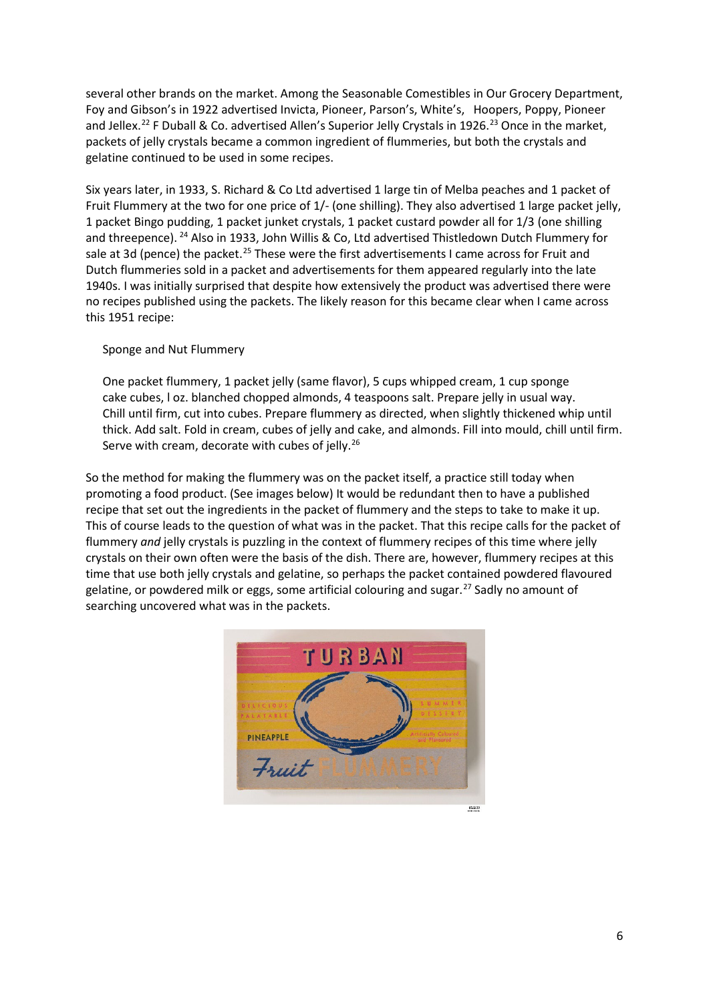several other brands on the market. Among the Seasonable Comestibles in Our Grocery Department, Foy and Gibson's in 1922 advertised Invicta, Pioneer, Parson's, White's, Hoopers, Poppy, Pioneer and Jellex.<sup>[22](#page-9-13)</sup> F Duball & Co. advertised Allen's Superior Jelly Crystals in 1926.<sup>23</sup> Once in the market, packets of jelly crystals became a common ingredient of flummeries, but both the crystals and gelatine continued to be used in some recipes.

Six years later, in 1933, S. Richard & Co Ltd advertised 1 large tin of Melba peaches and 1 packet of Fruit Flummery at the two for one price of 1/- (one shilling). They also advertised 1 large packet jelly, 1 packet Bingo pudding, 1 packet junket crystals, 1 packet custard powder all for 1/3 (one shilling and threepence). [24](#page-9-15) Also in 1933, John Willis & Co, Ltd advertised Thistledown Dutch Flummery for sale at 3d (pence) the packet.<sup>[25](#page-9-16)</sup> These were the first advertisements I came across for Fruit and Dutch flummeries sold in a packet and advertisements for them appeared regularly into the late 1940s. I was initially surprised that despite how extensively the product was advertised there were no recipes published using the packets. The likely reason for this became clear when I came across this 1951 recipe:

## Sponge and Nut Flummery

One packet flummery, 1 packet jelly (same flavor), 5 cups whipped cream, 1 cup sponge cake cubes, l oz. blanched chopped almonds, 4 teaspoons salt. Prepare jelly in usual way. Chill until firm, cut into cubes. Prepare flummery as directed, when slightly thickened whip until thick. Add salt. Fold in cream, cubes of jelly and cake, and almonds. Fill into mould, chill until firm. Serve with cream, decorate with cubes of jelly.<sup>[26](#page-9-17)</sup>

So the method for making the flummery was on the packet itself, a practice still today when promoting a food product. (See images below) It would be redundant then to have a published recipe that set out the ingredients in the packet of flummery and the steps to take to make it up. This of course leads to the question of what was in the packet. That this recipe calls for the packet of flummery *and* jelly crystals is puzzling in the context of flummery recipes of this time where jelly crystals on their own often were the basis of the dish. There are, however, flummery recipes at this time that use both jelly crystals and gelatine, so perhaps the packet contained powdered flavoured gelatine, or powdered milk or eggs, some artificial colouring and sugar.<sup>[27](#page-9-18)</sup> Sadly no amount of searching uncovered what was in the packets.

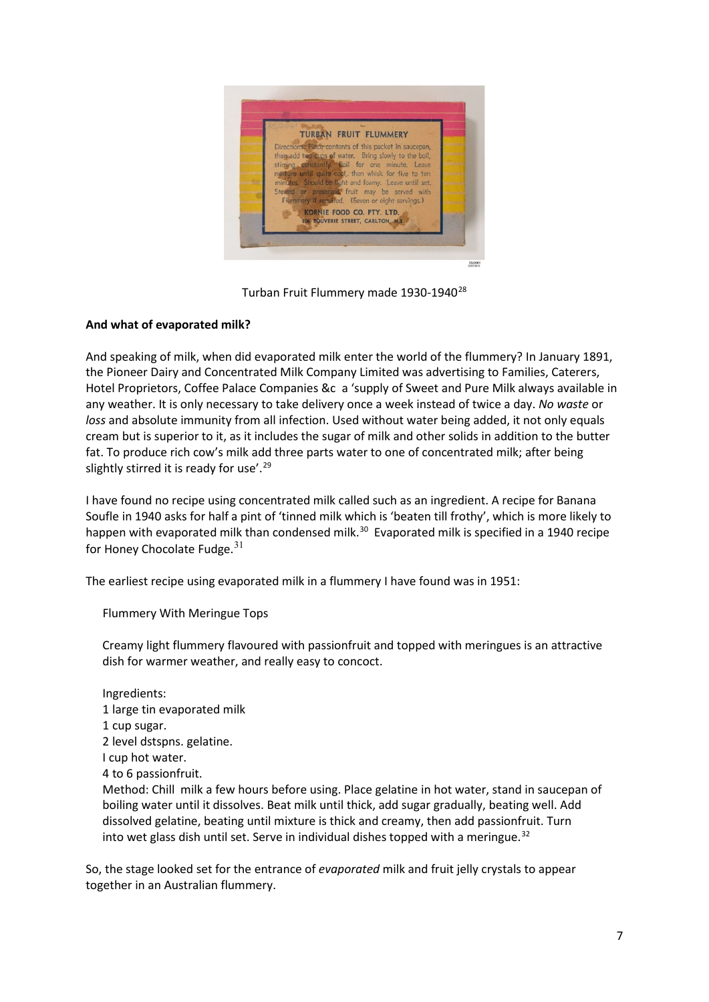

Turban Fruit Flummery made 1930-1940<sup>[28](#page-9-19)</sup>

## **And what of evaporated milk?**

And speaking of milk, when did evaporated milk enter the world of the flummery? In January 1891, the Pioneer Dairy and Concentrated Milk Company Limited was advertising to Families, Caterers, Hotel Proprietors, Coffee Palace Companies &c a 'supply of Sweet and Pure Milk always available in any weather. It is only necessary to take delivery once a week instead of twice a day. *No waste* or *loss* and absolute immunity from all infection. Used without water being added, it not only equals cream but is superior to it, as it includes the sugar of milk and other solids in addition to the butter fat. To produce rich cow's milk add three parts water to one of concentrated milk; after being slightly stirred it is ready for use'.<sup>29</sup>

I have found no recipe using concentrated milk called such as an ingredient. A recipe for Banana Soufle in 1940 asks for half a pint of 'tinned milk which is 'beaten till frothy', which is more likely to happen with evaporated milk than condensed milk.<sup>[30](#page-9-21)</sup> Evaporated milk is specified in a 1940 recipe for Honey Chocolate Fudge. $31$ 

The earliest recipe using evaporated milk in a flummery I have found was in 1951:

Flummery With Meringue Tops

Creamy light flummery flavoured with passionfruit and topped with meringues is an attractive dish for warmer weather, and really easy to concoct.

Ingredients: 1 large tin evaporated milk 1 cup sugar. 2 level dstspns. gelatine. I cup hot water. 4 to 6 passionfruit. Method: Chill milk a few hours before using. Place gelatine in hot water, stand in saucepan of boiling water until it dissolves. Beat milk until thick, add sugar gradually, beating well. Add dissolved gelatine, beating until mixture is thick and creamy, then add passionfruit. Turn into wet glass dish until set. Serve in individual dishes topped with a meringue.<sup>[32](#page-9-23)</sup>

So, the stage looked set for the entrance of *evaporated* milk and fruit jelly crystals to appear together in an Australian flummery.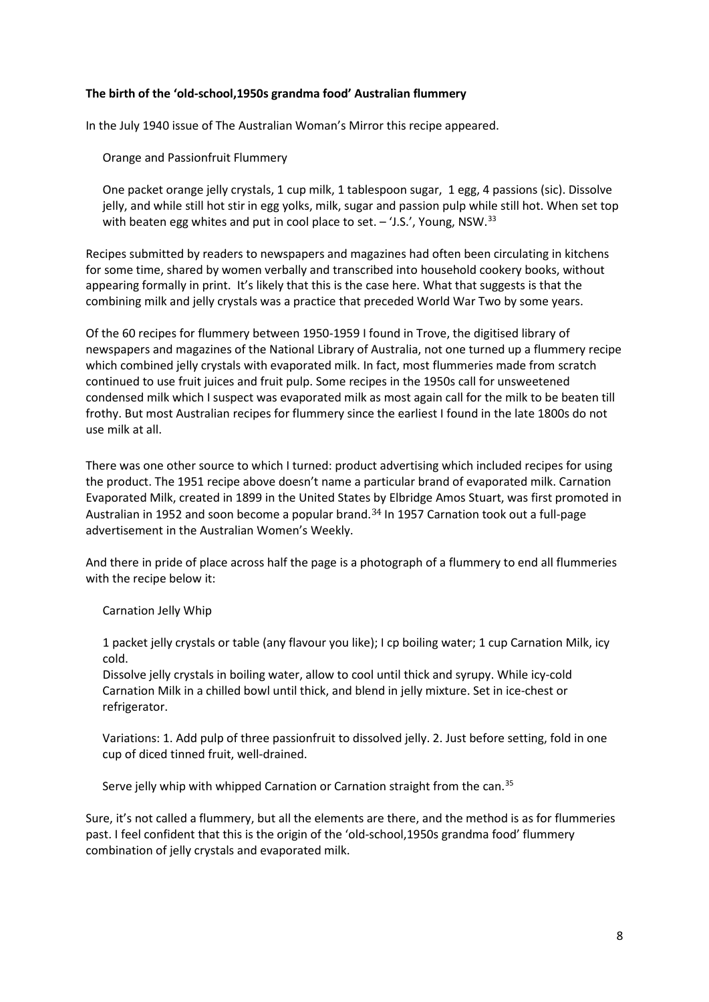## **The birth of the 'old-school,1950s grandma food' Australian flummery**

In the July 1940 issue of The Australian Woman's Mirror this recipe appeared.

Orange and Passionfruit Flummery

One packet orange jelly crystals, 1 cup milk, 1 tablespoon sugar, 1 egg, 4 passions (sic). Dissolve jelly, and while still hot stir in egg yolks, milk, sugar and passion pulp while still hot. When set top with beaten egg whites and put in cool place to set.  $-$  'J.S.', Young, NSW.<sup>[33](#page-9-24)</sup>

Recipes submitted by readers to newspapers and magazines had often been circulating in kitchens for some time, shared by women verbally and transcribed into household cookery books, without appearing formally in print. It's likely that this is the case here. What that suggests is that the combining milk and jelly crystals was a practice that preceded World War Two by some years.

Of the 60 recipes for flummery between 1950-1959 I found in Trove, the digitised library of newspapers and magazines of the National Library of Australia, not one turned up a flummery recipe which combined jelly crystals with evaporated milk. In fact, most flummeries made from scratch continued to use fruit juices and fruit pulp. Some recipes in the 1950s call for unsweetened condensed milk which I suspect was evaporated milk as most again call for the milk to be beaten till frothy. But most Australian recipes for flummery since the earliest I found in the late 1800s do not use milk at all.

There was one other source to which I turned: product advertising which included recipes for using the product. The 1951 recipe above doesn't name a particular brand of evaporated milk. Carnation Evaporated Milk, created in 1899 in the United States by Elbridge Amos Stuart, was first promoted in Australian in 1952 and soon become a popular brand.<sup>[34](#page-9-25)</sup> In 1957 Carnation took out a full-page advertisement in the Australian Women's Weekly.

And there in pride of place across half the page is a photograph of a flummery to end all flummeries with the recipe below it:

## Carnation Jelly Whip

1 packet jelly crystals or table (any flavour you like); I cp boiling water; 1 cup Carnation Milk, icy cold.

Dissolve jelly crystals in boiling water, allow to cool until thick and syrupy. While icy-cold Carnation Milk in a chilled bowl until thick, and blend in jelly mixture. Set in ice-chest or refrigerator.

Variations: 1. Add pulp of three passionfruit to dissolved jelly. 2. Just before setting, fold in one cup of diced tinned fruit, well-drained.

Serve jelly whip with whipped Carnation or Carnation straight from the can.<sup>[35](#page-9-26)</sup>

Sure, it's not called a flummery, but all the elements are there, and the method is as for flummeries past. I feel confident that this is the origin of the 'old-school,1950s grandma food' flummery combination of jelly crystals and evaporated milk.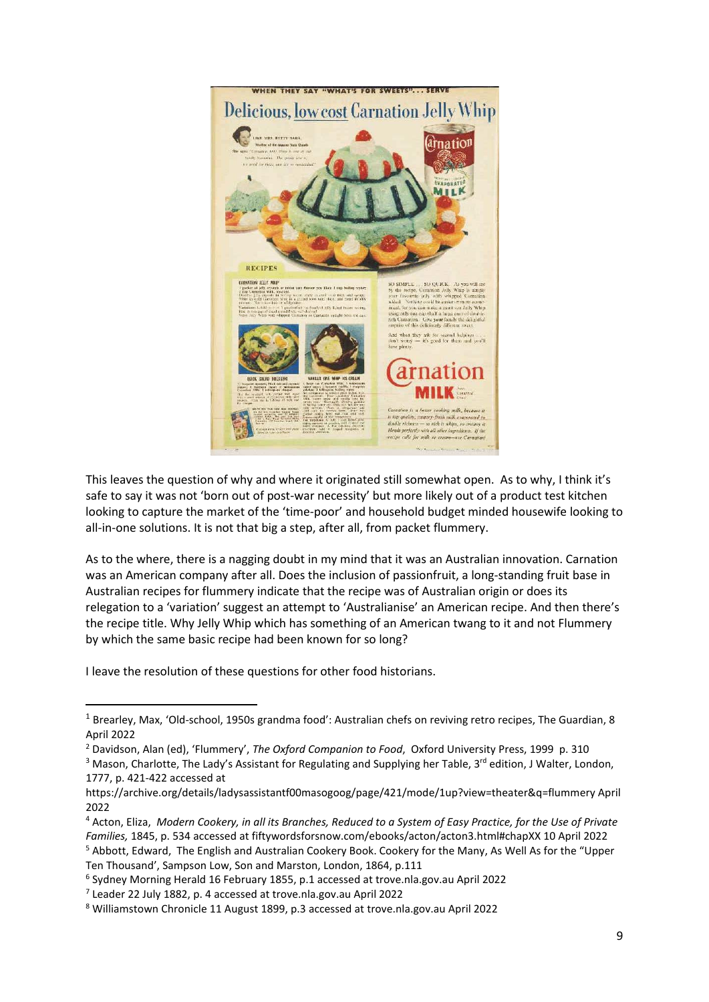

This leaves the question of why and where it originated still somewhat open. As to why, I think it's safe to say it was not 'born out of post-war necessity' but more likely out of a product test kitchen looking to capture the market of the 'time-poor' and household budget minded housewife looking to all-in-one solutions. It is not that big a step, after all, from packet flummery.

As to the where, there is a nagging doubt in my mind that it was an Australian innovation. Carnation was an American company after all. Does the inclusion of passionfruit, a long-standing fruit base in Australian recipes for flummery indicate that the recipe was of Australian origin or does its relegation to a 'variation' suggest an attempt to 'Australianise' an American recipe. And then there's the recipe title. Why Jelly Whip which has something of an American twang to it and not Flummery by which the same basic recipe had been known for so long?

I leave the resolution of these questions for other food historians.

<span id="page-8-0"></span><sup>&</sup>lt;sup>1</sup> Brearley, Max, 'Old-school, 1950s grandma food': Australian chefs on reviving retro recipes, The Guardian, 8 April 2022

<span id="page-8-1"></span><sup>2</sup> Davidson, Alan (ed), 'Flummery', *The Oxford Companion to Food*, Oxford University Press, 1999 p. 310

<span id="page-8-2"></span><sup>&</sup>lt;sup>3</sup> Mason, Charlotte, The Lady's Assistant for Regulating and Supplying her Table, 3<sup>rd</sup> edition, J Walter, London, 1777, p. 421-422 accessed at

https://archive.org/details/ladysassistantf00masogoog/page/421/mode/1up?view=theater&q=flummery April 2022

<span id="page-8-4"></span><span id="page-8-3"></span><sup>4</sup> Acton, Eliza, *Modern Cookery, in all its Branches, Reduced to a System of Easy Practice, for the Use of Private Families,* 1845, p. 534 accessed at fiftywordsforsnow.com/ebooks/acton/acton3.html#chapXX 10 April 2022 <sup>5</sup> Abbott, Edward, The English and Australian Cookery Book. Cookery for the Many, As Well As for the "Upper Ten Thousand', Sampson Low, Son and Marston, London, 1864, p.111

<span id="page-8-5"></span><sup>&</sup>lt;sup>6</sup> Sydney Morning Herald 16 February 1855, p.1 accessed at trove.nla.gov.au April 2022<br><sup>7</sup> Leader 22 July 1882, p. 4 accessed at trove.nla.gov.au April 2022

<span id="page-8-6"></span>

<span id="page-8-7"></span><sup>8</sup> Williamstown Chronicle 11 August 1899, p.3 accessed at trove.nla.gov.au April 2022